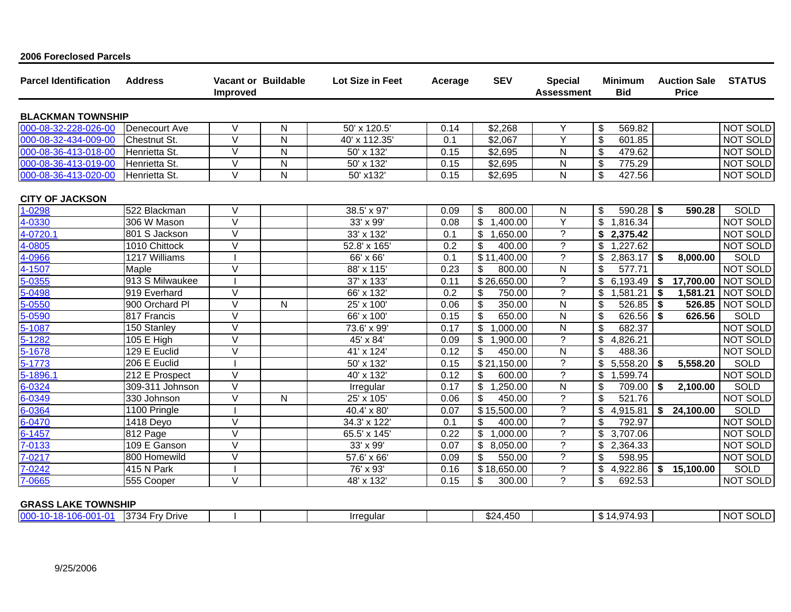| <b>Parcel Identification</b> | <b>Address</b>             | <b>Improved</b>   | <b>Vacant or Buildable</b> | Lot Size in Feet          | Acerage | <b>SEV</b>                  | <b>Special</b><br><b>Assessment</b> | <b>Minimum</b><br><b>Bid</b> | <b>Auction Sale</b><br><b>Price</b>  | <b>STATUS</b>   |
|------------------------------|----------------------------|-------------------|----------------------------|---------------------------|---------|-----------------------------|-------------------------------------|------------------------------|--------------------------------------|-----------------|
| <b>BLACKMAN TOWNSHIP</b>     |                            |                   |                            |                           |         |                             |                                     |                              |                                      |                 |
| 000-08-32-228-026-00         | Denecourt Ave              | $\vee$            | N                          | 50' x 120.5'              | 0.14    | \$2,268                     | Y                                   | \$<br>569.82                 |                                      | <b>NOT SOLD</b> |
| 000-08-32-434-009-00         | <b>Chestnut St.</b>        | V                 | N                          | 40' x 112.35'             | 0.1     | \$2,067                     | ∨                                   | \$<br>601.85                 |                                      | <b>NOT SOLD</b> |
| 000-08-36-413-018-00         | Henrietta St.              | $\vee$            | N                          | 50' x 132'                | 0.15    | \$2,695                     | N                                   | \$<br>479.62                 |                                      | NOT SOLD        |
| 000-08-36-413-019-00         | Henrietta St.              | $\vee$            | N                          | 50' x 132'                | 0.15    | \$2,695                     | N                                   | \$<br>775.29                 |                                      | NOT SOLD        |
| 000-08-36-413-020-00         | Henrietta St.              | $\vee$            | N                          | 50' x132'                 | 0.15    | \$2,695                     | N                                   | \$<br>427.56                 |                                      | <b>NOT SOLD</b> |
| <b>CITY OF JACKSON</b>       |                            |                   |                            |                           |         |                             |                                     |                              |                                      |                 |
| 1-0298                       | 522 Blackman               | $\vee$            |                            | 38.5' x 97'               | 0.09    | \$<br>800.00                | N                                   | \$<br>590.28                 | $\overline{\phantom{a}}$<br>590.28   | <b>SOLD</b>     |
| 4-0330                       | 306 W Mason                | $\vee$            |                            | 33' x 99'                 | 0.08    | \$<br>.400.00               | Y                                   | \$<br>1,816.34               |                                      | <b>NOT SOLD</b> |
| 4-0720.1                     | 801 S Jackson              | $\vee$            |                            | 33' x 132'                | 0.1     | \$<br>,650.00               | ?                                   | \$<br>2,375.42               |                                      | <b>NOT SOLD</b> |
| 4-0805                       | 1010 Chittock              | $\overline{\vee}$ |                            | 52.8' x 165'              | 0.2     | \$<br>400.00                | ?                                   | \$<br>.227.62<br>-1          |                                      | <b>NOT SOLD</b> |
| 4-0966                       | $\overline{12}17$ Williams |                   |                            | 66' x 66'                 | 0.1     | \$11,400.00                 | ?                                   | \$<br>2,863.17               | - \$<br>8,000.00                     | SOLD            |
| 4-1507                       | Maple                      | $\vee$            |                            | 88' x 115'                | 0.23    | \$<br>800.00                | N                                   | \$<br>577.71                 |                                      | <b>NOT SOLD</b> |
| 5-0355                       | 913 S Milwaukee            |                   |                            | 37' x 133'                | 0.11    | $\overline{$}26,650.00$     | ?                                   | \$<br>6,193.49               | 17,700.00<br>-\$                     | <b>NOT SOLD</b> |
| 5-0498                       | 919 Everhard               | $\vee$            |                            | 66' x $132'$              | 0.2     | \$<br>750.00                | ?                                   | \$<br>1,581.21               | -\$<br>1,581.21                      | NOT SOLD        |
| 5-0550                       | 900 Orchard PI             | $\vee$            | N                          | 25' x 100'                | 0.06    | \$<br>350.00                | N                                   | \$<br>526.85                 | $\overline{\phantom{a}}$<br>526.85   | <b>NOT SOLD</b> |
| 5-0590                       | 817 Francis                | $\vee$            |                            | 66' x 100'                | 0.15    | \$<br>650.00                | N                                   | \$<br>626.56                 | - \$<br>626.56                       | SOLD            |
| 5-1087                       | 150 Stanley                | $\vee$            |                            | 73.6' x 99'               | 0.17    | \$<br>1,000.00              | N                                   | \$<br>682.37                 |                                      | NOT SOLD        |
| 5-1282                       | 105 E High                 | $\vee$            |                            | 45' x 84'                 | 0.09    | $\mathfrak{S}$<br>,900.00   | ?                                   | \$<br>4,826.21               |                                      | <b>NOT SOLD</b> |
| 5-1678                       | 129 E Euclid               | $\vee$            |                            | 41' x 124'                | 0.12    | \$<br>450.00                | N                                   | \$<br>488.36                 |                                      | <b>NOT SOLD</b> |
| 5-1773                       | 206 E Euclid               |                   |                            | 50' x 132'                | 0.15    | $\overline{$21}$<br>,150.00 | ?                                   | \$<br>5,558.20               | -\$<br>5,558.20                      | <b>SOLD</b>     |
| 5-1896.1                     | 212 E Prospect             | $\vee$            |                            | 40' x 132'                | 0.12    | \$<br>600.00                | $\boldsymbol{\gamma}$               | \$<br>,599.74<br>-1          |                                      | <b>NOT SOLD</b> |
| 6-0324                       | 309-311 Johnson            | $\vee$            |                            | Irregular                 | 0.17    | \$<br>,250.00               | N                                   | \$<br>709.00                 | 2,100.00<br>$\overline{\phantom{a}}$ | <b>SOLD</b>     |
| 6-0349                       | 330 Johnson                | V                 | N                          | 25' x 105'                | 0.06    | \$<br>450.00                | $\gamma$                            | \$<br>521.76                 |                                      | <b>NOT SOLD</b> |
| 6-0364                       | 1100 Pringle               |                   |                            | $\overline{40.4}$ ' x 80' | 0.07    | \$15,500.00                 | $\gamma$                            | \$<br>4,915.81               | 24,100.00<br>\$                      | SOLD            |
| 6-0470                       | 1418 Deyo                  | $\vee$            |                            | 34.3' x 122'              | 0.1     | \$<br>400.00                | $\boldsymbol{\gamma}$               | $\mathbf{f}$<br>792.97       |                                      | <b>NOT SOLD</b> |
| $6 - 1457$                   | 812 Page                   | $\vee$            |                            | 65.5' x 145'              | 0.22    | \$<br>1,000.00              | $\gamma$                            | \$<br>3,707.06               |                                      | <b>NOT SOLD</b> |
| 7-0133                       | 109 E Ganson               | $\vee$            |                            | 33' x 99'                 | 0.07    | \$<br>8,050.00              | ?                                   | \$<br>2,364.33               |                                      | <b>NOT SOLD</b> |
| 7-0217                       | 800 Homewild               | $\vee$            |                            | 57.6' x 66'               | 0.09    | \$<br>550.00                | ?                                   | \$<br>598.95                 |                                      | <b>NOT SOLD</b> |
| 7-0242                       | 415 N Park                 |                   |                            | 76' x 93'                 | 0.16    | \$18,650.00                 | ?                                   | \$<br>4,922.86               | $\sqrt{3}$<br>15,100.00              | <b>SOLD</b>     |
| 7-0665                       | 555 Cooper                 | $\vee$            |                            | 48' x 132'                | 0.15    | \$<br>300.00                | ?                                   | \$<br>692.53                 |                                      | NOT SOLD        |

## **GRASS LAKE TOWNSHIP**

**2006 Foreclosed Parcels**

| - 14<br><b>U</b> C<br>4∠ھ<br>.<br>.<br>"ט. ד | ∩∩ | 1070<br>Drive<br>. |  |  | <i><u><b>Irrequia</b></u></i> |  | $\sqrt{2}$<br>ົ<br>1.45U | $\sim$ $\sim$<br>$\sim$<br>. |  | $   -$<br>INOT<br>ືບບ∟ |
|----------------------------------------------|----|--------------------|--|--|-------------------------------|--|--------------------------|------------------------------|--|------------------------|
|----------------------------------------------|----|--------------------|--|--|-------------------------------|--|--------------------------|------------------------------|--|------------------------|